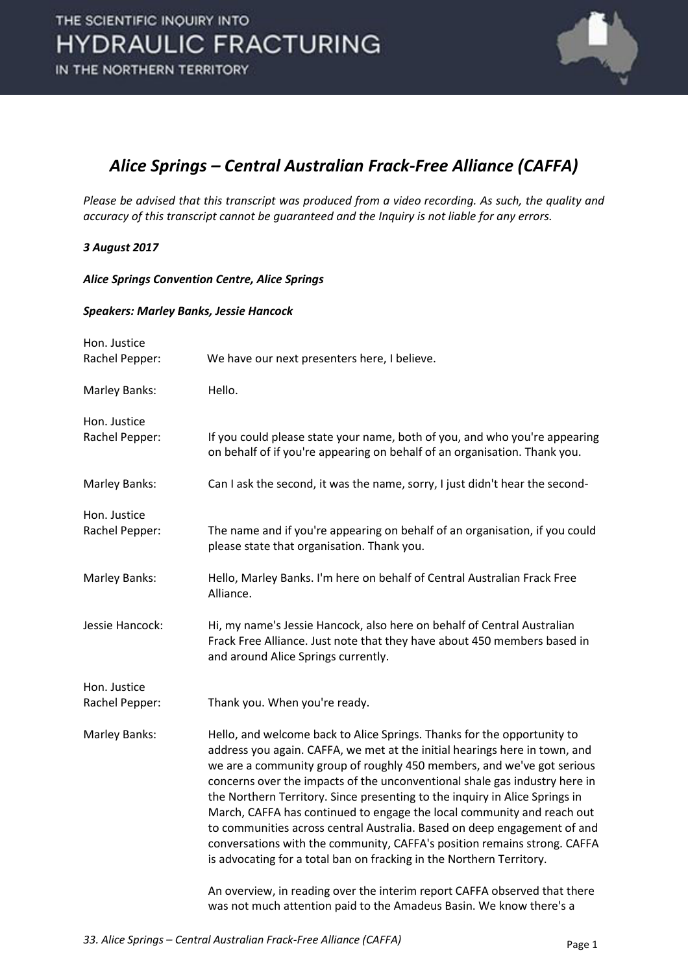

### *Alice Springs – Central Australian Frack-Free Alliance (CAFFA)*

*Please be advised that this transcript was produced from a video recording. As such, the quality and accuracy of this transcript cannot be guaranteed and the Inquiry is not liable for any errors.* 

#### *3 August 2017*

*Alice Springs Convention Centre, Alice Springs* 

#### *Speakers: Marley Banks, Jessie Hancock*

| Hon. Justice<br>Rachel Pepper: |                                                                                                                                                                                                                                                                                                                                                                                                                                                                                                                                                                                                                                                                                                        |
|--------------------------------|--------------------------------------------------------------------------------------------------------------------------------------------------------------------------------------------------------------------------------------------------------------------------------------------------------------------------------------------------------------------------------------------------------------------------------------------------------------------------------------------------------------------------------------------------------------------------------------------------------------------------------------------------------------------------------------------------------|
|                                | We have our next presenters here, I believe.                                                                                                                                                                                                                                                                                                                                                                                                                                                                                                                                                                                                                                                           |
| Marley Banks:                  | Hello.                                                                                                                                                                                                                                                                                                                                                                                                                                                                                                                                                                                                                                                                                                 |
| Hon. Justice                   |                                                                                                                                                                                                                                                                                                                                                                                                                                                                                                                                                                                                                                                                                                        |
| Rachel Pepper:                 | If you could please state your name, both of you, and who you're appearing<br>on behalf of if you're appearing on behalf of an organisation. Thank you.                                                                                                                                                                                                                                                                                                                                                                                                                                                                                                                                                |
| Marley Banks:                  | Can I ask the second, it was the name, sorry, I just didn't hear the second-                                                                                                                                                                                                                                                                                                                                                                                                                                                                                                                                                                                                                           |
| Hon. Justice                   |                                                                                                                                                                                                                                                                                                                                                                                                                                                                                                                                                                                                                                                                                                        |
| Rachel Pepper:                 | The name and if you're appearing on behalf of an organisation, if you could<br>please state that organisation. Thank you.                                                                                                                                                                                                                                                                                                                                                                                                                                                                                                                                                                              |
| Marley Banks:                  | Hello, Marley Banks. I'm here on behalf of Central Australian Frack Free<br>Alliance.                                                                                                                                                                                                                                                                                                                                                                                                                                                                                                                                                                                                                  |
| Jessie Hancock:                | Hi, my name's Jessie Hancock, also here on behalf of Central Australian<br>Frack Free Alliance. Just note that they have about 450 members based in<br>and around Alice Springs currently.                                                                                                                                                                                                                                                                                                                                                                                                                                                                                                             |
| Hon. Justice                   |                                                                                                                                                                                                                                                                                                                                                                                                                                                                                                                                                                                                                                                                                                        |
| Rachel Pepper:                 | Thank you. When you're ready.                                                                                                                                                                                                                                                                                                                                                                                                                                                                                                                                                                                                                                                                          |
| Marley Banks:                  | Hello, and welcome back to Alice Springs. Thanks for the opportunity to<br>address you again. CAFFA, we met at the initial hearings here in town, and<br>we are a community group of roughly 450 members, and we've got serious<br>concerns over the impacts of the unconventional shale gas industry here in<br>the Northern Territory. Since presenting to the inquiry in Alice Springs in<br>March, CAFFA has continued to engage the local community and reach out<br>to communities across central Australia. Based on deep engagement of and<br>conversations with the community, CAFFA's position remains strong. CAFFA<br>is advocating for a total ban on fracking in the Northern Territory. |
|                                | An overview, in reading over the interim report CAFFA observed that there<br>was not much attention paid to the Amadeus Basin. We know there's a                                                                                                                                                                                                                                                                                                                                                                                                                                                                                                                                                       |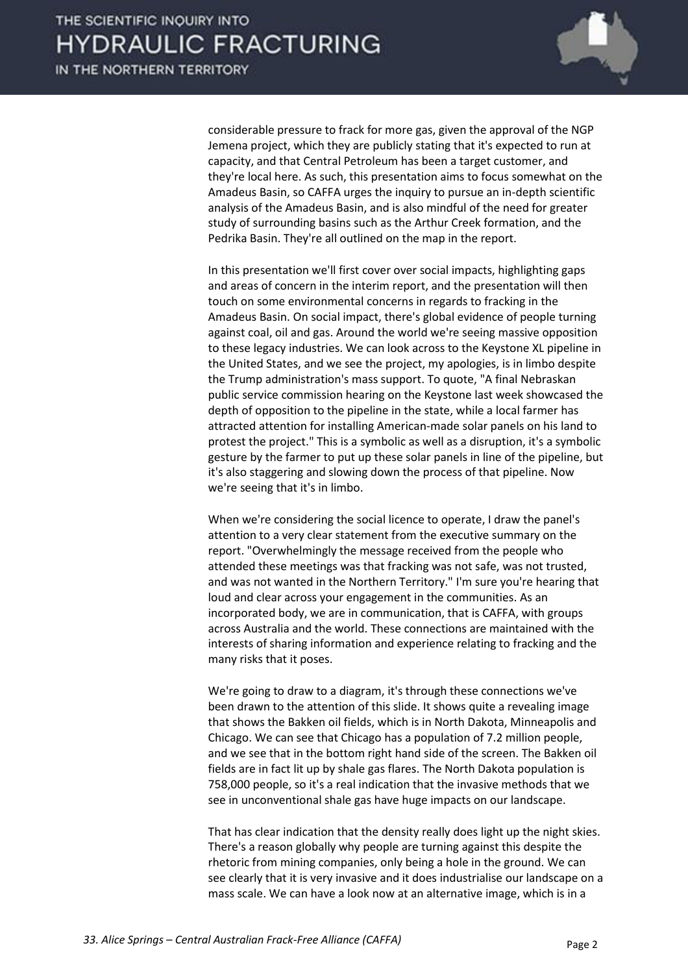

considerable pressure to frack for more gas, given the approval of the NGP Jemena project, which they are publicly stating that it's expected to run at capacity, and that Central Petroleum has been a target customer, and they're local here. As such, this presentation aims to focus somewhat on the Amadeus Basin, so CAFFA urges the inquiry to pursue an in-depth scientific analysis of the Amadeus Basin, and is also mindful of the need for greater study of surrounding basins such as the Arthur Creek formation, and the Pedrika Basin. They're all outlined on the map in the report.

 In this presentation we'll first cover over social impacts, highlighting gaps and areas of concern in the interim report, and the presentation will then touch on some environmental concerns in regards to fracking in the Amadeus Basin. On social impact, there's global evidence of people turning against coal, oil and gas. Around the world we're seeing massive opposition to these legacy industries. We can look across to the Keystone XL pipeline in the United States, and we see the project, my apologies, is in limbo despite the Trump administration's mass support. To quote, "A final Nebraskan public service commission hearing on the Keystone last week showcased the depth of opposition to the pipeline in the state, while a local farmer has attracted attention for installing American-made solar panels on his land to protest the project." This is a symbolic as well as a disruption, it's a symbolic gesture by the farmer to put up these solar panels in line of the pipeline, but it's also staggering and slowing down the process of that pipeline. Now we're seeing that it's in limbo.

 When we're considering the social licence to operate, I draw the panel's attention to a very clear statement from the executive summary on the report. "Overwhelmingly the message received from the people who attended these meetings was that fracking was not safe, was not trusted, and was not wanted in the Northern Territory." I'm sure you're hearing that loud and clear across your engagement in the communities. As an incorporated body, we are in communication, that is CAFFA, with groups across Australia and the world. These connections are maintained with the interests of sharing information and experience relating to fracking and the many risks that it poses.

 We're going to draw to a diagram, it's through these connections we've been drawn to the attention of this slide. It shows quite a revealing image that shows the Bakken oil fields, which is in North Dakota, Minneapolis and Chicago. We can see that Chicago has a population of 7.2 million people, and we see that in the bottom right hand side of the screen. The Bakken oil fields are in fact lit up by shale gas flares. The North Dakota population is 758,000 people, so it's a real indication that the invasive methods that we see in unconventional shale gas have huge impacts on our landscape.

 That has clear indication that the density really does light up the night skies. There's a reason globally why people are turning against this despite the rhetoric from mining companies, only being a hole in the ground. We can see clearly that it is very invasive and it does industrialise our landscape on a mass scale. We can have a look now at an alternative image, which is in a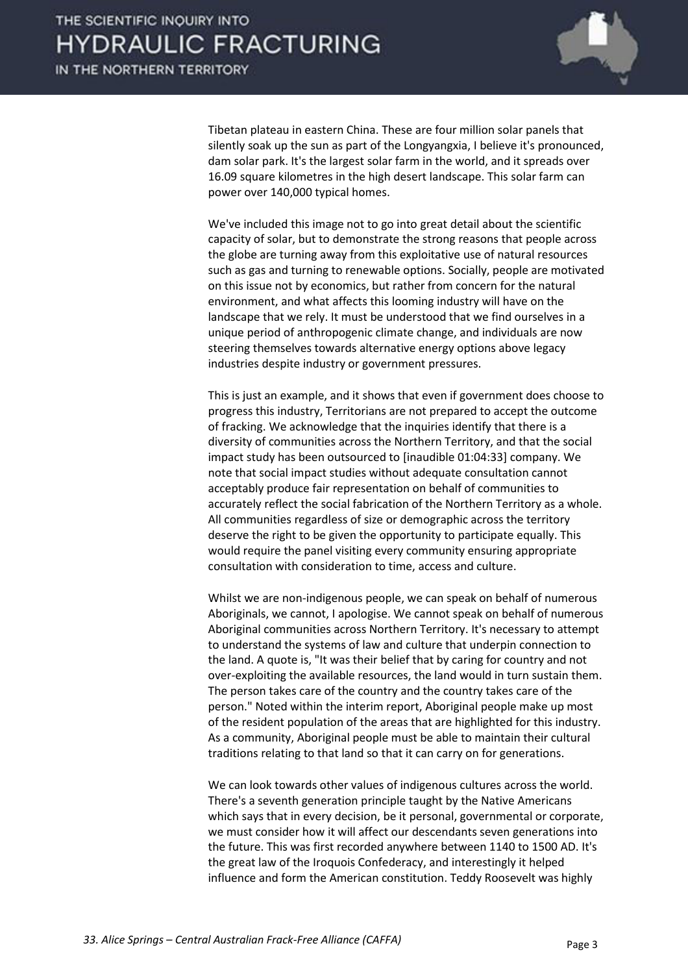

Tibetan plateau in eastern China. These are four million solar panels that silently soak up the sun as part of the Longyangxia, I believe it's pronounced, dam solar park. It's the largest solar farm in the world, and it spreads over 16.09 square kilometres in the high desert landscape. This solar farm can power over 140,000 typical homes.

 We've included this image not to go into great detail about the scientific capacity of solar, but to demonstrate the strong reasons that people across the globe are turning away from this exploitative use of natural resources such as gas and turning to renewable options. Socially, people are motivated on this issue not by economics, but rather from concern for the natural environment, and what affects this looming industry will have on the landscape that we rely. It must be understood that we find ourselves in a unique period of anthropogenic climate change, and individuals are now steering themselves towards alternative energy options above legacy industries despite industry or government pressures.

 This is just an example, and it shows that even if government does choose to progress this industry, Territorians are not prepared to accept the outcome of fracking. We acknowledge that the inquiries identify that there is a diversity of communities across the Northern Territory, and that the social impact study has been outsourced to [inaudible 01:04:33] company. We note that social impact studies without adequate consultation cannot acceptably produce fair representation on behalf of communities to accurately reflect the social fabrication of the Northern Territory as a whole. All communities regardless of size or demographic across the territory deserve the right to be given the opportunity to participate equally. This would require the panel visiting every community ensuring appropriate consultation with consideration to time, access and culture.

Whilst we are non-indigenous people, we can speak on behalf of numerous Aboriginals, we cannot, I apologise. We cannot speak on behalf of numerous Aboriginal communities across Northern Territory. It's necessary to attempt to understand the systems of law and culture that underpin connection to the land. A quote is, "It was their belief that by caring for country and not over-exploiting the available resources, the land would in turn sustain them. The person takes care of the country and the country takes care of the person." Noted within the interim report, Aboriginal people make up most of the resident population of the areas that are highlighted for this industry. As a community, Aboriginal people must be able to maintain their cultural traditions relating to that land so that it can carry on for generations.

 We can look towards other values of indigenous cultures across the world. There's a seventh generation principle taught by the Native Americans which says that in every decision, be it personal, governmental or corporate, we must consider how it will affect our descendants seven generations into the future. This was first recorded anywhere between 1140 to 1500 AD. It's the great law of the Iroquois Confederacy, and interestingly it helped influence and form the American constitution. Teddy Roosevelt was highly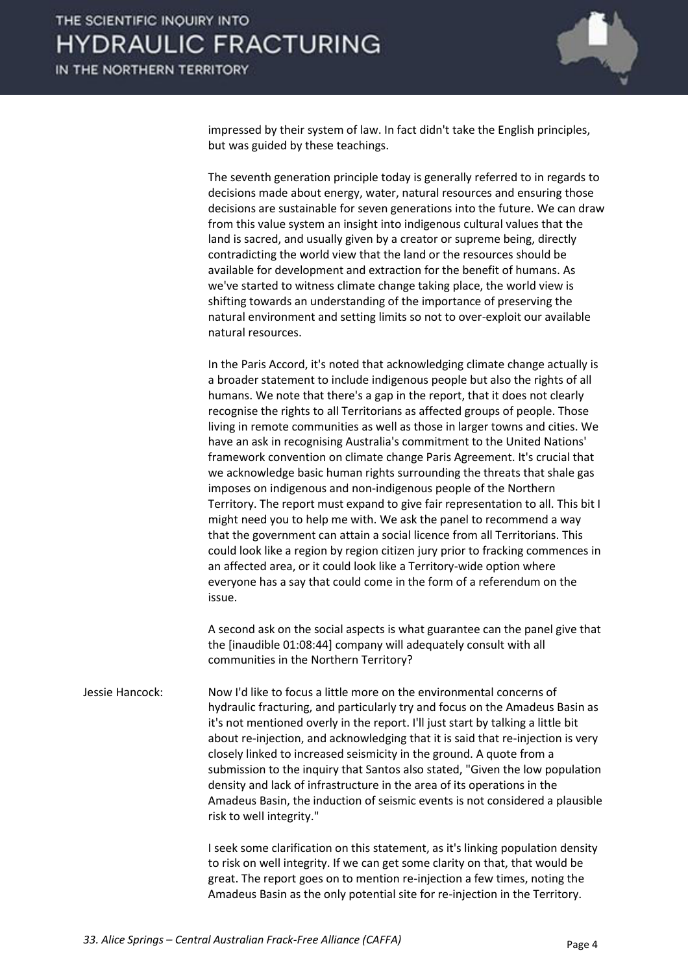

impressed by their system of law. In fact didn't take the English principles, but was guided by these teachings.

 The seventh generation principle today is generally referred to in regards to decisions made about energy, water, natural resources and ensuring those decisions are sustainable for seven generations into the future. We can draw from this value system an insight into indigenous cultural values that the land is sacred, and usually given by a creator or supreme being, directly contradicting the world view that the land or the resources should be available for development and extraction for the benefit of humans. As we've started to witness climate change taking place, the world view is shifting towards an understanding of the importance of preserving the natural environment and setting limits so not to over-exploit our available natural resources.

 In the Paris Accord, it's noted that acknowledging climate change actually is a broader statement to include indigenous people but also the rights of all humans. We note that there's a gap in the report, that it does not clearly recognise the rights to all Territorians as affected groups of people. Those living in remote communities as well as those in larger towns and cities. We have an ask in recognising Australia's commitment to the United Nations' framework convention on climate change Paris Agreement. It's crucial that we acknowledge basic human rights surrounding the threats that shale gas imposes on indigenous and non-indigenous people of the Northern Territory. The report must expand to give fair representation to all. This bit I might need you to help me with. We ask the panel to recommend a way that the government can attain a social licence from all Territorians. This could look like a region by region citizen jury prior to fracking commences in an affected area, or it could look like a Territory-wide option where everyone has a say that could come in the form of a referendum on the issue.

 A second ask on the social aspects is what guarantee can the panel give that the [inaudible 01:08:44] company will adequately consult with all communities in the Northern Territory?

Jessie Hancock: Now I'd like to focus a little more on the environmental concerns of hydraulic fracturing, and particularly try and focus on the Amadeus Basin as it's not mentioned overly in the report. I'll just start by talking a little bit about re-injection, and acknowledging that it is said that re-injection is very closely linked to increased seismicity in the ground. A quote from a submission to the inquiry that Santos also stated, "Given the low population density and lack of infrastructure in the area of its operations in the Amadeus Basin, the induction of seismic events is not considered a plausible risk to well integrity."

> I seek some clarification on this statement, as it's linking population density to risk on well integrity. If we can get some clarity on that, that would be great. The report goes on to mention re-injection a few times, noting the Amadeus Basin as the only potential site for re-injection in the Territory.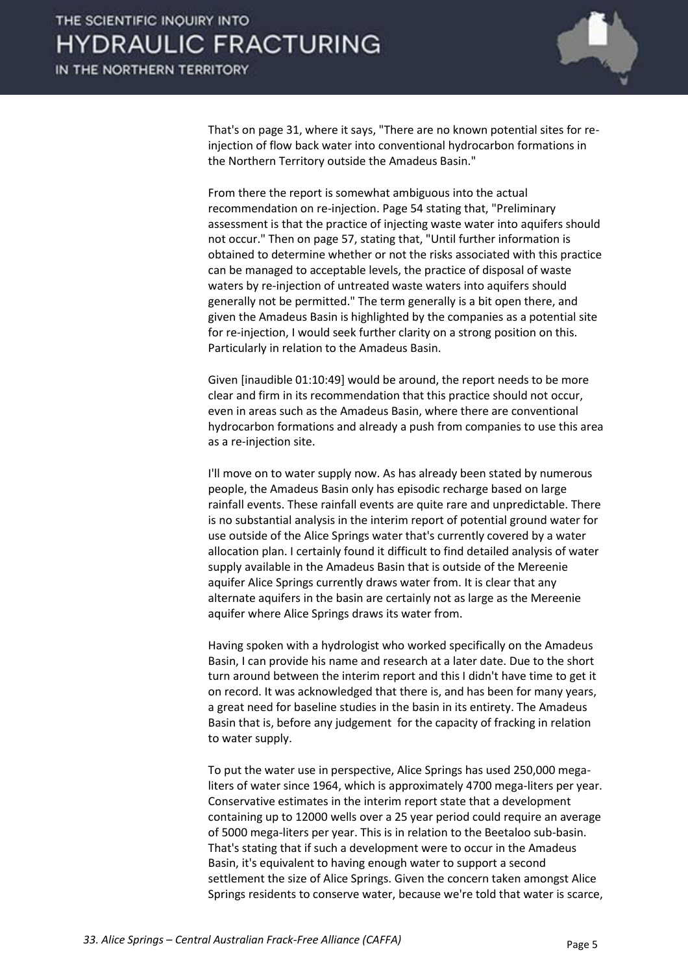

That's on page 31, where it says, "There are no known potential sites for reinjection of flow back water into conventional hydrocarbon formations in the Northern Territory outside the Amadeus Basin."

 From there the report is somewhat ambiguous into the actual recommendation on re-injection. Page 54 stating that, "Preliminary assessment is that the practice of injecting waste water into aquifers should not occur." Then on page 57, stating that, "Until further information is obtained to determine whether or not the risks associated with this practice can be managed to acceptable levels, the practice of disposal of waste waters by re-injection of untreated waste waters into aquifers should generally not be permitted." The term generally is a bit open there, and given the Amadeus Basin is highlighted by the companies as a potential site for re-injection, I would seek further clarity on a strong position on this. Particularly in relation to the Amadeus Basin.

 Given [inaudible 01:10:49] would be around, the report needs to be more clear and firm in its recommendation that this practice should not occur, even in areas such as the Amadeus Basin, where there are conventional hydrocarbon formations and already a push from companies to use this area as a re-injection site.

 I'll move on to water supply now. As has already been stated by numerous people, the Amadeus Basin only has episodic recharge based on large rainfall events. These rainfall events are quite rare and unpredictable. There is no substantial analysis in the interim report of potential ground water for use outside of the Alice Springs water that's currently covered by a water allocation plan. I certainly found it difficult to find detailed analysis of water supply available in the Amadeus Basin that is outside of the Mereenie aquifer Alice Springs currently draws water from. It is clear that any alternate aquifers in the basin are certainly not as large as the Mereenie aquifer where Alice Springs draws its water from.

 Having spoken with a hydrologist who worked specifically on the Amadeus Basin, I can provide his name and research at a later date. Due to the short turn around between the interim report and this I didn't have time to get it on record. It was acknowledged that there is, and has been for many years, a great need for baseline studies in the basin in its entirety. The Amadeus Basin that is, before any judgement for the capacity of fracking in relation to water supply.

 To put the water use in perspective, Alice Springs has used 250,000 megaliters of water since 1964, which is approximately 4700 mega-liters per year. Conservative estimates in the interim report state that a development containing up to 12000 wells over a 25 year period could require an average of 5000 mega-liters per year. This is in relation to the Beetaloo sub-basin. That's stating that if such a development were to occur in the Amadeus Basin, it's equivalent to having enough water to support a second settlement the size of Alice Springs. Given the concern taken amongst Alice Springs residents to conserve water, because we're told that water is scarce,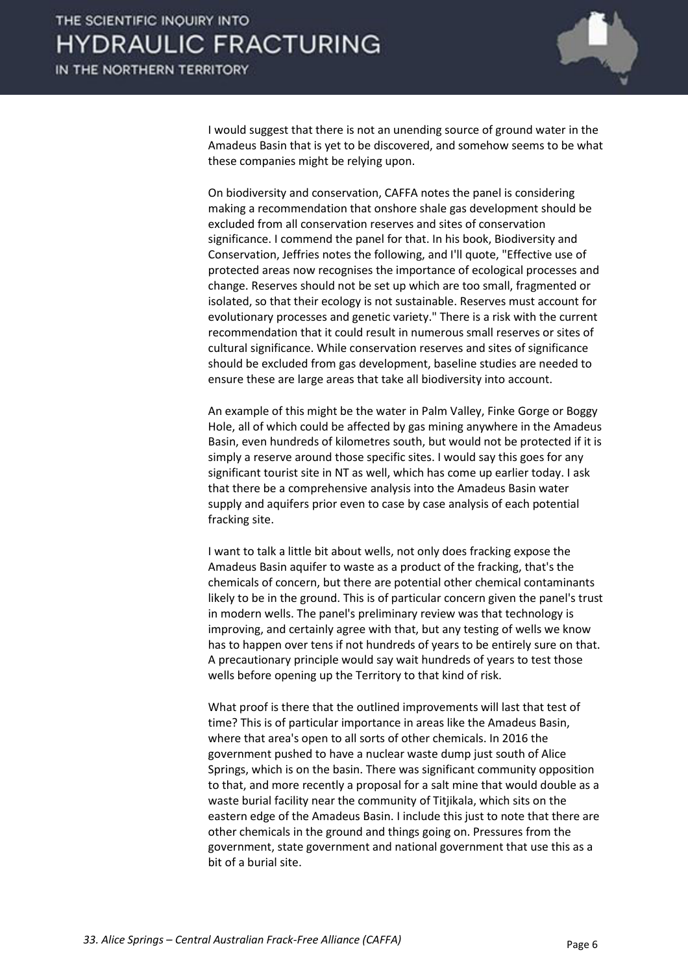

I would suggest that there is not an unending source of ground water in the Amadeus Basin that is yet to be discovered, and somehow seems to be what these companies might be relying upon.

 On biodiversity and conservation, CAFFA notes the panel is considering making a recommendation that onshore shale gas development should be excluded from all conservation reserves and sites of conservation significance. I commend the panel for that. In his book, Biodiversity and Conservation, Jeffries notes the following, and I'll quote, "Effective use of protected areas now recognises the importance of ecological processes and change. Reserves should not be set up which are too small, fragmented or isolated, so that their ecology is not sustainable. Reserves must account for evolutionary processes and genetic variety." There is a risk with the current recommendation that it could result in numerous small reserves or sites of cultural significance. While conservation reserves and sites of significance should be excluded from gas development, baseline studies are needed to ensure these are large areas that take all biodiversity into account.

 An example of this might be the water in Palm Valley, Finke Gorge or Boggy Hole, all of which could be affected by gas mining anywhere in the Amadeus Basin, even hundreds of kilometres south, but would not be protected if it is simply a reserve around those specific sites. I would say this goes for any significant tourist site in NT as well, which has come up earlier today. I ask that there be a comprehensive analysis into the Amadeus Basin water supply and aquifers prior even to case by case analysis of each potential fracking site.

 I want to talk a little bit about wells, not only does fracking expose the Amadeus Basin aquifer to waste as a product of the fracking, that's the chemicals of concern, but there are potential other chemical contaminants likely to be in the ground. This is of particular concern given the panel's trust in modern wells. The panel's preliminary review was that technology is improving, and certainly agree with that, but any testing of wells we know has to happen over tens if not hundreds of years to be entirely sure on that. A precautionary principle would say wait hundreds of years to test those wells before opening up the Territory to that kind of risk.

 What proof is there that the outlined improvements will last that test of time? This is of particular importance in areas like the Amadeus Basin, where that area's open to all sorts of other chemicals. In 2016 the government pushed to have a nuclear waste dump just south of Alice Springs, which is on the basin. There was significant community opposition to that, and more recently a proposal for a salt mine that would double as a waste burial facility near the community of Titjikala, which sits on the eastern edge of the Amadeus Basin. I include this just to note that there are other chemicals in the ground and things going on. Pressures from the government, state government and national government that use this as a bit of a burial site.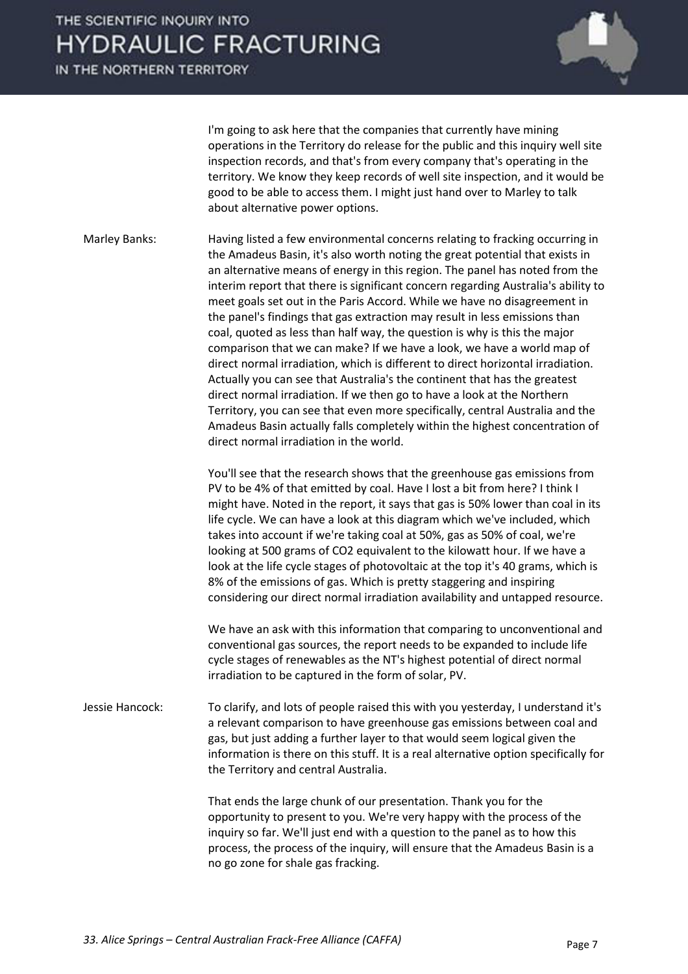IN THE NORTHERN TERRITORY



 I'm going to ask here that the companies that currently have mining operations in the Territory do release for the public and this inquiry well site inspection records, and that's from every company that's operating in the territory. We know they keep records of well site inspection, and it would be good to be able to access them. I might just hand over to Marley to talk about alternative power options.

Marley Banks: Having listed a few environmental concerns relating to fracking occurring in the Amadeus Basin, it's also worth noting the great potential that exists in an alternative means of energy in this region. The panel has noted from the interim report that there is significant concern regarding Australia's ability to meet goals set out in the Paris Accord. While we have no disagreement in the panel's findings that gas extraction may result in less emissions than coal, quoted as less than half way, the question is why is this the major comparison that we can make? If we have a look, we have a world map of direct normal irradiation, which is different to direct horizontal irradiation. Actually you can see that Australia's the continent that has the greatest direct normal irradiation. If we then go to have a look at the Northern Territory, you can see that even more specifically, central Australia and the Amadeus Basin actually falls completely within the highest concentration of direct normal irradiation in the world.

> You'll see that the research shows that the greenhouse gas emissions from PV to be 4% of that emitted by coal. Have I lost a bit from here? I think I might have. Noted in the report, it says that gas is 50% lower than coal in its life cycle. We can have a look at this diagram which we've included, which takes into account if we're taking coal at 50%, gas as 50% of coal, we're looking at 500 grams of CO2 equivalent to the kilowatt hour. If we have a look at the life cycle stages of photovoltaic at the top it's 40 grams, which is 8% of the emissions of gas. Which is pretty staggering and inspiring considering our direct normal irradiation availability and untapped resource.

> We have an ask with this information that comparing to unconventional and conventional gas sources, the report needs to be expanded to include life cycle stages of renewables as the NT's highest potential of direct normal irradiation to be captured in the form of solar, PV.

Jessie Hancock: To clarify, and lots of people raised this with you yesterday, I understand it's a relevant comparison to have greenhouse gas emissions between coal and gas, but just adding a further layer to that would seem logical given the information is there on this stuff. It is a real alternative option specifically for the Territory and central Australia.

> That ends the large chunk of our presentation. Thank you for the opportunity to present to you. We're very happy with the process of the inquiry so far. We'll just end with a question to the panel as to how this process, the process of the inquiry, will ensure that the Amadeus Basin is a no go zone for shale gas fracking.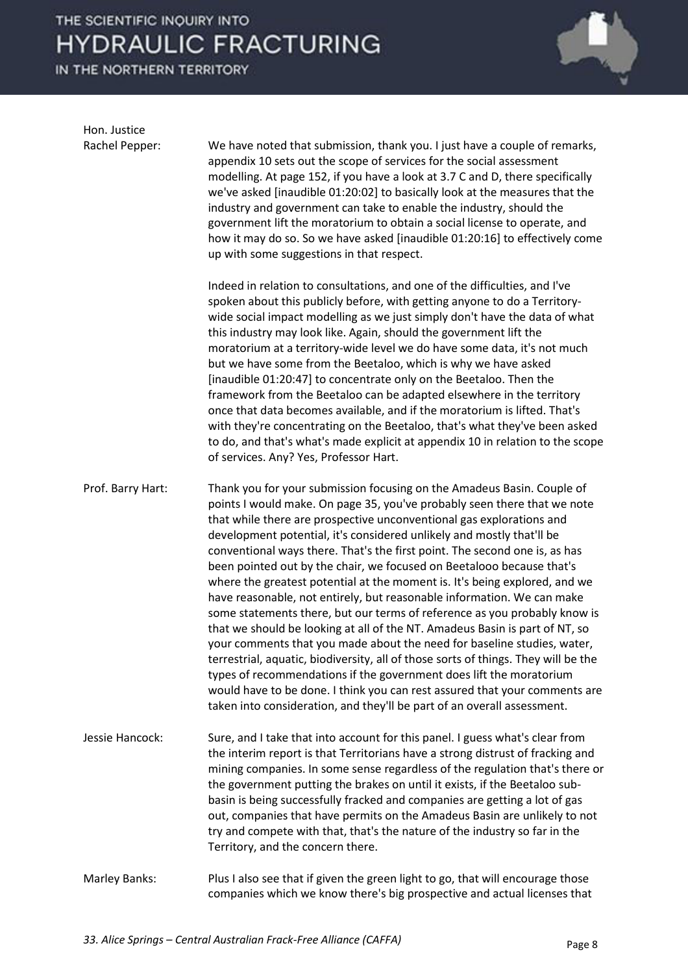IN THE NORTHERN TERRITORY



Hon. Justice

Rachel Pepper: We have noted that submission, thank you. I just have a couple of remarks, appendix 10 sets out the scope of services for the social assessment modelling. At page 152, if you have a look at 3.7 C and D, there specifically we've asked [inaudible 01:20:02] to basically look at the measures that the industry and government can take to enable the industry, should the government lift the moratorium to obtain a social license to operate, and how it may do so. So we have asked [inaudible 01:20:16] to effectively come up with some suggestions in that respect.

> Indeed in relation to consultations, and one of the difficulties, and I've spoken about this publicly before, with getting anyone to do a Territorywide social impact modelling as we just simply don't have the data of what this industry may look like. Again, should the government lift the moratorium at a territory-wide level we do have some data, it's not much but we have some from the Beetaloo, which is why we have asked [inaudible 01:20:47] to concentrate only on the Beetaloo. Then the framework from the Beetaloo can be adapted elsewhere in the territory once that data becomes available, and if the moratorium is lifted. That's with they're concentrating on the Beetaloo, that's what they've been asked to do, and that's what's made explicit at appendix 10 in relation to the scope of services. Any? Yes, Professor Hart.

Prof. Barry Hart: Thank you for your submission focusing on the Amadeus Basin. Couple of points I would make. On page 35, you've probably seen there that we note that while there are prospective unconventional gas explorations and development potential, it's considered unlikely and mostly that'll be conventional ways there. That's the first point. The second one is, as has been pointed out by the chair, we focused on Beetalooo because that's where the greatest potential at the moment is. It's being explored, and we have reasonable, not entirely, but reasonable information. We can make some statements there, but our terms of reference as you probably know is that we should be looking at all of the NT. Amadeus Basin is part of NT, so your comments that you made about the need for baseline studies, water, terrestrial, aquatic, biodiversity, all of those sorts of things. They will be the types of recommendations if the government does lift the moratorium would have to be done. I think you can rest assured that your comments are taken into consideration, and they'll be part of an overall assessment.

- Jessie Hancock: Sure, and I take that into account for this panel. I guess what's clear from the interim report is that Territorians have a strong distrust of fracking and mining companies. In some sense regardless of the regulation that's there or the government putting the brakes on until it exists, if the Beetaloo subbasin is being successfully fracked and companies are getting a lot of gas out, companies that have permits on the Amadeus Basin are unlikely to not try and compete with that, that's the nature of the industry so far in the Territory, and the concern there.
- Marley Banks: Plus I also see that if given the green light to go, that will encourage those companies which we know there's big prospective and actual licenses that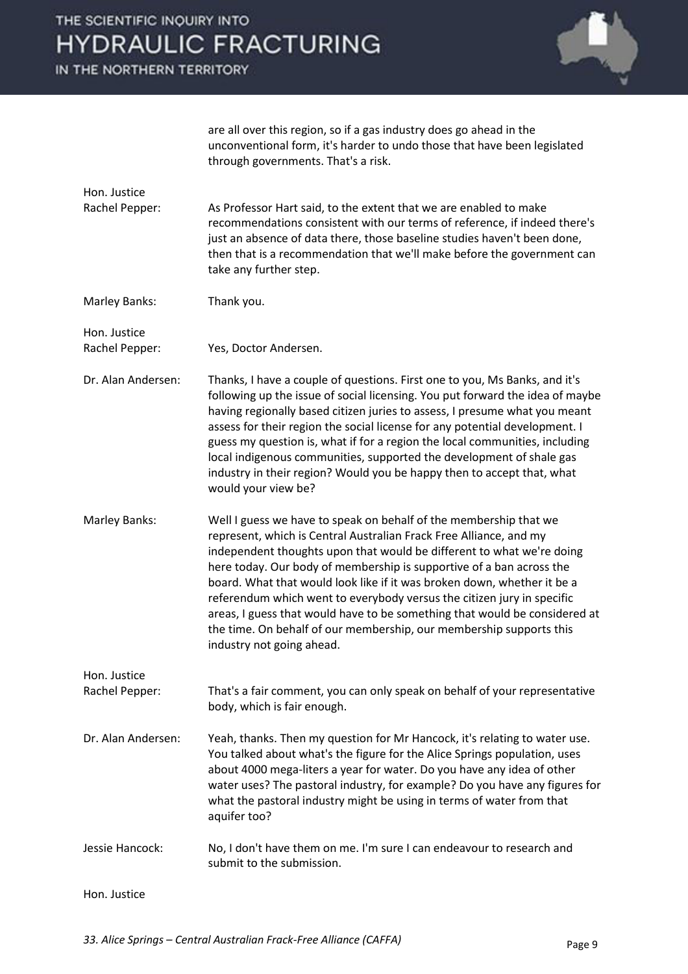IN THE NORTHERN TERRITORY



are all over this region, so if a gas industry does go ahead in the unconventional form, it's harder to undo those that have been legislated through governments. That's a risk.

Rachel Pepper: As Professor Hart said, to the extent that we are enabled to make recommendations consistent with our terms of reference, if indeed there's just an absence of data there, those baseline studies haven't been done, then that is a recommendation that we'll make before the government can take any further step.

Marley Banks: Thank you.

Hon. Justice

Hon. Justice

Rachel Pepper: Yes, Doctor Andersen.

- Dr. Alan Andersen: Thanks, I have a couple of questions. First one to you, Ms Banks, and it's following up the issue of social licensing. You put forward the idea of maybe having regionally based citizen juries to assess, I presume what you meant assess for their region the social license for any potential development. I guess my question is, what if for a region the local communities, including local indigenous communities, supported the development of shale gas industry in their region? Would you be happy then to accept that, what would your view be?
- Marley Banks: Well I guess we have to speak on behalf of the membership that we represent, which is Central Australian Frack Free Alliance, and my independent thoughts upon that would be different to what we're doing here today. Our body of membership is supportive of a ban across the board. What that would look like if it was broken down, whether it be a referendum which went to everybody versus the citizen jury in specific areas, I guess that would have to be something that would be considered at the time. On behalf of our membership, our membership supports this industry not going ahead.

Rachel Pepper: That's a fair comment, you can only speak on behalf of your representative body, which is fair enough.

- Dr. Alan Andersen: Yeah, thanks. Then my question for Mr Hancock, it's relating to water use. You talked about what's the figure for the Alice Springs population, uses about 4000 mega-liters a year for water. Do you have any idea of other water uses? The pastoral industry, for example? Do you have any figures for what the pastoral industry might be using in terms of water from that aquifer too?
- Jessie Hancock: No, I don't have them on me. I'm sure I can endeavour to research and submit to the submission.

Hon. Justice

Hon. Justice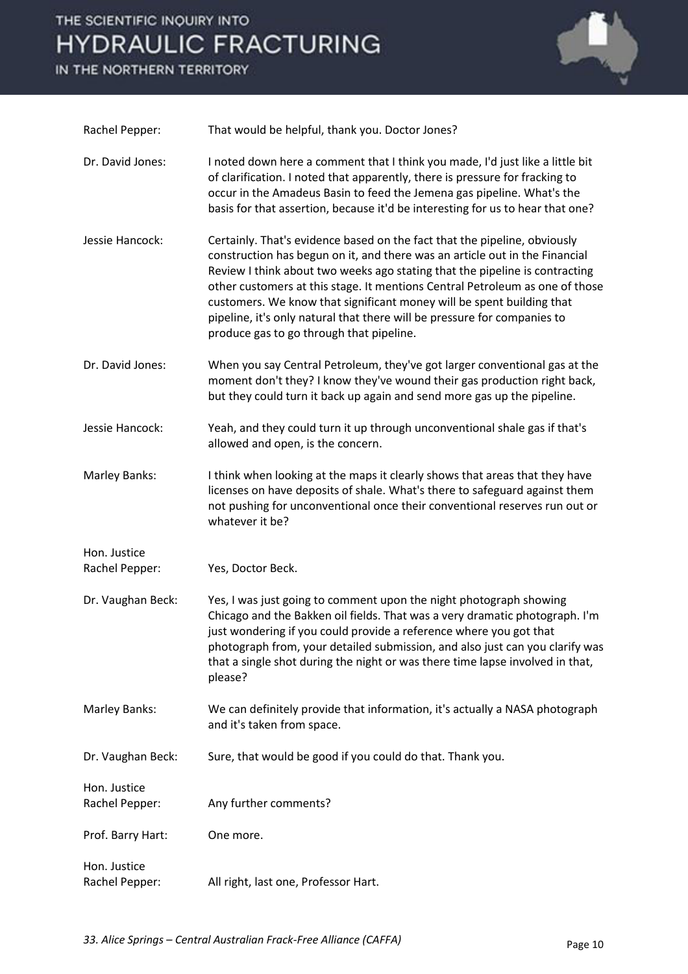IN THE NORTHERN TERRITORY



| Rachel Pepper:                 | That would be helpful, thank you. Doctor Jones?                                                                                                                                                                                                                                                                                                                                                                                                                                                                          |
|--------------------------------|--------------------------------------------------------------------------------------------------------------------------------------------------------------------------------------------------------------------------------------------------------------------------------------------------------------------------------------------------------------------------------------------------------------------------------------------------------------------------------------------------------------------------|
| Dr. David Jones:               | I noted down here a comment that I think you made, I'd just like a little bit<br>of clarification. I noted that apparently, there is pressure for fracking to<br>occur in the Amadeus Basin to feed the Jemena gas pipeline. What's the<br>basis for that assertion, because it'd be interesting for us to hear that one?                                                                                                                                                                                                |
| Jessie Hancock:                | Certainly. That's evidence based on the fact that the pipeline, obviously<br>construction has begun on it, and there was an article out in the Financial<br>Review I think about two weeks ago stating that the pipeline is contracting<br>other customers at this stage. It mentions Central Petroleum as one of those<br>customers. We know that significant money will be spent building that<br>pipeline, it's only natural that there will be pressure for companies to<br>produce gas to go through that pipeline. |
| Dr. David Jones:               | When you say Central Petroleum, they've got larger conventional gas at the<br>moment don't they? I know they've wound their gas production right back,<br>but they could turn it back up again and send more gas up the pipeline.                                                                                                                                                                                                                                                                                        |
| Jessie Hancock:                | Yeah, and they could turn it up through unconventional shale gas if that's<br>allowed and open, is the concern.                                                                                                                                                                                                                                                                                                                                                                                                          |
| Marley Banks:                  | I think when looking at the maps it clearly shows that areas that they have<br>licenses on have deposits of shale. What's there to safeguard against them<br>not pushing for unconventional once their conventional reserves run out or<br>whatever it be?                                                                                                                                                                                                                                                               |
| Hon. Justice<br>Rachel Pepper: | Yes, Doctor Beck.                                                                                                                                                                                                                                                                                                                                                                                                                                                                                                        |
| Dr. Vaughan Beck:              | Yes, I was just going to comment upon the night photograph showing<br>Chicago and the Bakken oil fields. That was a very dramatic photograph. I'm<br>just wondering if you could provide a reference where you got that<br>photograph from, your detailed submission, and also just can you clarify was<br>that a single shot during the night or was there time lapse involved in that,<br>please?                                                                                                                      |
| Marley Banks:                  | We can definitely provide that information, it's actually a NASA photograph<br>and it's taken from space.                                                                                                                                                                                                                                                                                                                                                                                                                |
| Dr. Vaughan Beck:              | Sure, that would be good if you could do that. Thank you.                                                                                                                                                                                                                                                                                                                                                                                                                                                                |
| Hon. Justice<br>Rachel Pepper: | Any further comments?                                                                                                                                                                                                                                                                                                                                                                                                                                                                                                    |
| Prof. Barry Hart:              | One more.                                                                                                                                                                                                                                                                                                                                                                                                                                                                                                                |
| Hon. Justice<br>Rachel Pepper: | All right, last one, Professor Hart.                                                                                                                                                                                                                                                                                                                                                                                                                                                                                     |